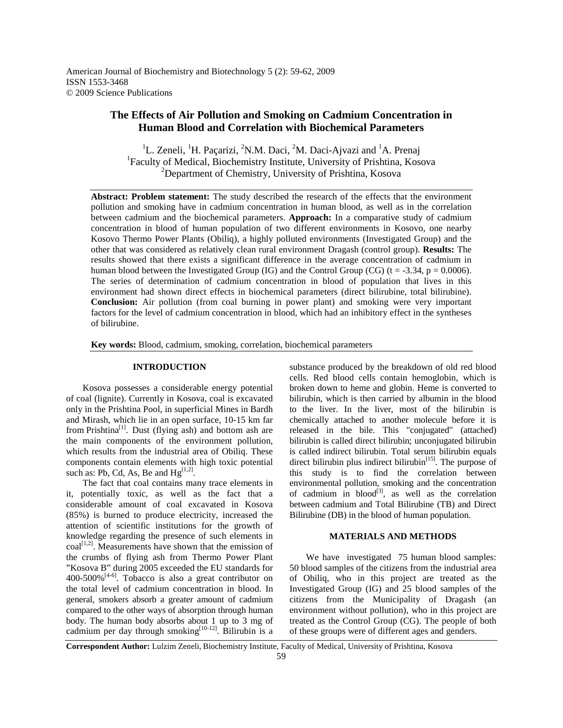American Journal of Biochemistry and Biotechnology 5 (2): 59-62, 2009 ISSN 1553-3468 © 2009 Science Publications

# **The Effects of Air Pollution and Smoking on Cadmium Concentration in Human Blood and Correlation with Biochemical Parameters**

<sup>1</sup>L. Zeneli, <sup>1</sup>H. Paçarizi, <sup>2</sup>N.M. Daci, <sup>2</sup>M. Daci-Ajvazi and <sup>1</sup>A. Prenaj 1 Faculty of Medical, Biochemistry Institute, University of Prishtina, Kosova <sup>2</sup>Department of Chemistry, University of Prishtina, Kosova

**Abstract: Problem statement:** The study described the research of the effects that the environment pollution and smoking have in cadmium concentration in human blood, as well as in the correlation between cadmium and the biochemical parameters. **Approach:** In a comparative study of cadmium concentration in blood of human population of two different environments in Kosovo, one nearby Kosovo Thermo Power Plants (Obiliq), a highly polluted environments (Investigated Group) and the other that was considered as relatively clean rural environment Dragash (control group). **Results:** The results showed that there exists a significant difference in the average concentration of cadmium in human blood between the Investigated Group (IG) and the Control Group (CG) (t = -3.34, p = 0.0006). The series of determination of cadmium concentration in blood of population that lives in this environment had shown direct effects in biochemical parameters (direct bilirubine, total bilirubine). **Conclusion:** Air pollution (from coal burning in power plant) and smoking were very important factors for the level of cadmium concentration in blood, which had an inhibitory effect in the syntheses of bilirubine.

**Key words:** Blood, cadmium, smoking, correlation, biochemical parameters

### **INTRODUCTION**

 Kosova possesses a considerable energy potential of coal (lignite). Currently in Kosova, coal is excavated only in the Prishtina Pool, in superficial Mines in Bardh and Mirash, which lie in an open surface, 10-15 km far from Prishtina<sup>[1]</sup>. Dust (flying ash) and bottom ash are the main components of the environment pollution, which results from the industrial area of Obiliq. These components contain elements with high toxic potential such as: Pb, Cd, As, Be and  $Hg^{[1,2]}$ .

 The fact that coal contains many trace elements in it, potentially toxic, as well as the fact that a considerable amount of coal excavated in Kosova (85%) is burned to produce electricity, increased the attention of scientific institutions for the growth of knowledge regarding the presence of such elements in  $coal^{[1,2]}$ . Measurements have shown that the emission of the crumbs of flying ash from Thermo Power Plant "Kosova B" during 2005 exceeded the EU standards for  $400-500\%$ <sup>[4-6]</sup>. Tobacco is also a great contributor on the total level of cadmium concentration in blood. In general, smokers absorb a greater amount of cadmium compared to the other ways of absorption through human body. The human body absorbs about 1 up to 3 mg of cadmium per day through smoking $[10-12]$ . Bilirubin is a

substance produced by the breakdown of old red blood cells. Red blood cells contain hemoglobin, which is broken down to heme and globin. Heme is converted to bilirubin, which is then carried by albumin in the blood to the liver. In the liver, most of the bilirubin is chemically attached to another molecule before it is released in the bile. This "conjugated" (attached) bilirubin is called direct bilirubin; unconjugated bilirubin is called indirect bilirubin. Total serum bilirubin equals direct bilirubin plus indirect bilirubin $[$ <sup>15]</sup>. The purpose of this study is to find the correlation between environmental pollution, smoking and the concentration of cadmium in  $blood^{[3]}$ , as well as the correlation between cadmium and Total Bilirubine (TB) and Direct Bilirubine (DB) in the blood of human population.

## **MATERIALS AND METHODS**

We have investigated 75 human blood samples: 50 blood samples of the citizens from the industrial area of Obiliq, who in this project are treated as the Investigated Group (IG) and 25 blood samples of the citizens from the Municipality of Dragash (an environment without pollution), who in this project are treated as the Control Group (CG). The people of both of these groups were of different ages and genders.

**Correspondent Author:** Lulzim Zeneli, Biochemistry Institute, Faculty of Medical, University of Prishtina, Kosova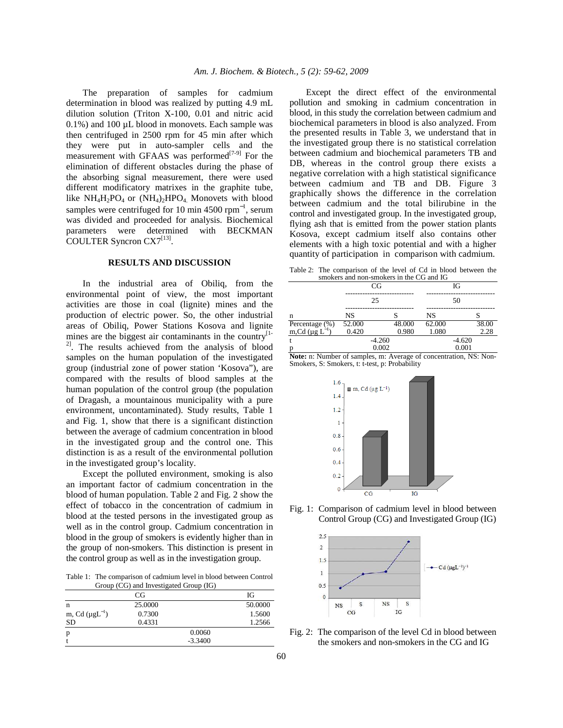The preparation of samples for cadmium determination in blood was realized by putting 4.9 mL dilution solution (Triton X-100, 0.01 and nitric acid  $0.1\%$ ) and  $100 \mu L$  blood in monovets. Each sample was then centrifuged in 2500 rpm for 45 min after which they were put in auto-sampler cells and the measurement with GFAAS was performed<sup>[7-9]</sup> For the elimination of different obstacles during the phase of the absorbing signal measurement, there were used different modificatory matrixes in the graphite tube, like  $NH_4H_2PO_4$  or  $(NH_4)_2HPO_4$  Monovets with blood samples were centrifuged for 10 min 4500 rpm<sup>-1</sup>, serum was divided and proceeded for analysis. Biochemical parameters were determined with BECKMAN COULTER Syncron CX7<sup>[13]</sup>.

## **RESULTS AND DISCUSSION**

 In the industrial area of Obiliq, from the environmental point of view, the most important activities are those in coal (lignite) mines and the production of electric power. So, the other industrial areas of Obiliq, Power Stations Kosova and lignite mines are the biggest air contaminants in the country<sup>[1-1</sup>] <sup>2]</sup>. The results achieved from the analysis of blood samples on the human population of the investigated group (industrial zone of power station 'Kosova"), are compared with the results of blood samples at the human population of the control group (the population of Dragash, a mountainous municipality with a pure environment, uncontaminated). Study results, Table 1 and Fig. 1, show that there is a significant distinction between the average of cadmium concentration in blood in the investigated group and the control one. This distinction is as a result of the environmental pollution in the investigated group's locality.

 Except the polluted environment, smoking is also an important factor of cadmium concentration in the blood of human population. Table 2 and Fig. 2 show the effect of tobacco in the concentration of cadmium in blood at the tested persons in the investigated group as well as in the control group. Cadmium concentration in blood in the group of smokers is evidently higher than in the group of non-smokers. This distinction is present in the control group as well as in the investigation group.

Table 1: The comparison of cadmium level in blood between Control Group (CG) and Investigated Group (IG)

|                        | CG      |           | Юf      |
|------------------------|---------|-----------|---------|
| n                      | 25,0000 |           | 50.0000 |
| m, Cd $(\mu g L^{-1})$ | 0.7300  |           | 1.5600  |
| SD                     | 0.4331  |           | 1.2566  |
| p                      |         | 0.0060    |         |
|                        |         | $-3.3400$ |         |

 Except the direct effect of the environmental pollution and smoking in cadmium concentration in blood, in this study the correlation between cadmium and biochemical parameters in blood is also analyzed. From the presented results in Table 3, we understand that in the investigated group there is no statistical correlation between cadmium and biochemical parameters TB and DB, whereas in the control group there exists a negative correlation with a high statistical significance between cadmium and TB and DB. Figure 3 graphically shows the difference in the correlation between cadmium and the total bilirubine in the control and investigated group. In the investigated group, flying ash that is emitted from the power station plants Kosova, except cadmium itself also contains other elements with a high toxic potential and with a higher quantity of participation in comparison with cadmium.

Table 2: The comparison of the level of Cd in blood between the smokers and non-smokers in the CG and IG

|                                                 |           | CG       |        |        | IG       |       |
|-------------------------------------------------|-----------|----------|--------|--------|----------|-------|
|                                                 |           | 25       |        |        | 50       |       |
| n                                               | <b>NS</b> |          |        | NS     |          |       |
|                                                 | 52.000    |          | 48.000 | 62.000 |          | 38.00 |
| Percentage $(\%)$<br>m,Cd (µg L <sup>-1</sup> ) | 0.420     |          | 0.980  | 1.080  |          | 2.28  |
|                                                 |           | $-4.260$ |        |        | $-4.620$ |       |
| D                                               |           | 0.002    |        |        | 0.001    |       |

**Note:** n: Number of samples, m: Average of concentration, NS: Non-Smokers, S: Smokers, t: t-test, p: Probability



Fig. 1: Comparison of cadmium level in blood between Control Group (CG) and Investigated Group (IG)



Fig. 2: The comparison of the level Cd in blood between the smokers and non-smokers in the CG and IG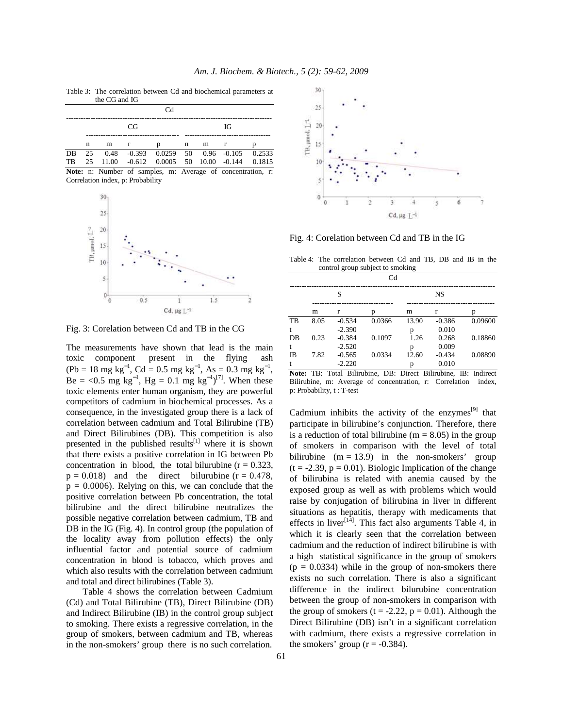Table 3: The correlation between Cd and biochemical parameters at the CG and IG

|    |    | uit cu ann it |              |                                                      |   |   |    |  |
|----|----|---------------|--------------|------------------------------------------------------|---|---|----|--|
|    |    |               |              | Cd                                                   |   |   |    |  |
|    |    |               | CG           |                                                      |   |   | ЮŦ |  |
|    | n  | m             | $\mathbf{r}$ | n                                                    | n | m |    |  |
| DB | 25 |               |              | $0.48$ $-0.393$ $0.0259$ 50 $0.96$ $-0.105$ $0.2533$ |   |   |    |  |
| TB | 25 | 11.00         |              | $-0.612$ $0.0005$ 50 $10.00$ $-0.144$ 0.1815         |   |   |    |  |

**Note:** n: Number of samples, m: Average of concentration, r: Correlation index, p: Probability



Fig. 3: Corelation between Cd and TB in the CG

The measurements have shown that lead is the main toxic component present in the flying ash  $(Pb = 18 \text{ mg kg}^{-1}, \text{Cd} = 0.5 \text{ mg kg}^{-1}, \text{As} = 0.3 \text{ mg kg}^{-1},$ Be = <0.5 mg  $kg^{-1}$ , Hg = 0.1 mg  $kg^{-1}$ )<sup>[7]</sup>. When these toxic elements enter human organism, they are powerful competitors of cadmium in biochemical processes. As a consequence, in the investigated group there is a lack of correlation between cadmium and Total Bilirubine (TB) and Direct Bilirubines (DB). This competition is also presented in the published results<sup>[1]</sup> where it is shown that there exists a positive correlation in IG between Pb concentration in blood, the total bilurubine  $(r = 0.323)$ ,  $p = 0.018$ ) and the direct bilurubine ( $r = 0.478$ ,  $p = 0.0006$ . Relying on this, we can conclude that the positive correlation between Pb concentration, the total bilirubine and the direct bilirubine neutralizes the possible negative correlation between cadmium, TB and DB in the IG (Fig. 4). In control group (the population of the locality away from pollution effects) the only influential factor and potential source of cadmium concentration in blood is tobacco, which proves and which also results with the correlation between cadmium and total and direct bilirubines (Table 3).

 Table 4 shows the correlation between Cadmium (Cd) and Total Bilirubine (TB), Direct Bilirubine (DB) and Indirect Bilirubine (IB) in the control group subject to smoking. There exists a regressive correlation, in the group of smokers, between cadmium and TB, whereas in the non-smokers' group there is no such correlation.



Fig. 4: Corelation between Cd and TB in the IG

Table 4: The correlation between Cd and TB, DB and IB in the control group subject to smoking

| Cd        |      |          |        |       |          |         |  |
|-----------|------|----------|--------|-------|----------|---------|--|
|           | S    |          |        |       |          |         |  |
|           | m    | r        | D      | m     | r        | n       |  |
| TB        | 8.05 | $-0.534$ | 0.0366 | 13.90 | $-0.386$ | 0.09600 |  |
| t         |      | $-2.390$ |        | р     | 0.010    |         |  |
| DB        | 0.23 | $-0.384$ | 0.1097 | 1.26  | 0.268    | 0.18860 |  |
| t         |      | $-2.520$ |        | р     | 0.009    |         |  |
| <b>IB</b> | 7.82 | $-0.565$ | 0.0334 | 12.60 | $-0.434$ | 0.08890 |  |
| t         |      | $-2.220$ |        |       | 0.010    |         |  |

**Note:** TB: Total Bilirubine, DB: Direct Bilirubine, IB: Indirect Bilirubine, m: Average of concentration, r: Correlation index, p: Probability, t : T-test

Cadmium inhibits the activity of the enzymes<sup>[9]</sup> that participate in bilirubine's conjunction. Therefore, there is a reduction of total bilirubine ( $m = 8.05$ ) in the group of smokers in comparison with the level of total bilirubine  $(m = 13.9)$  in the non-smokers' group  $(t = -2.39, p = 0.01)$ . Biologic Implication of the change of bilirubina is related with anemia caused by the exposed group as well as with problems which would raise by conjugation of bilirubina in liver in different situations as hepatitis, therapy with medicaments that effects in liver<sup>[14]</sup>. This fact also arguments Table 4, in which it is clearly seen that the correlation between cadmium and the reduction of indirect bilirubine is with a high statistical significance in the group of smokers  $(p = 0.0334)$  while in the group of non-smokers there exists no such correlation. There is also a significant difference in the indirect bilurubine concentration between the group of non-smokers in comparison with the group of smokers ( $t = -2.22$ ,  $p = 0.01$ ). Although the Direct Bilirubine (DB) isn't in a significant correlation with cadmium, there exists a regressive correlation in the smokers' group  $(r = -0.384)$ .